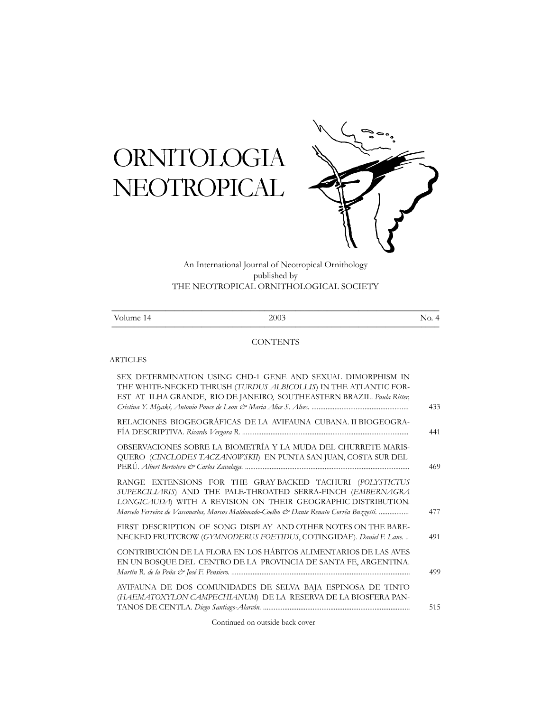# ORNITOLOGIA NEOTROPICAL



An International Journal of Neotropical Ornithology published by THE NEOTROPICAL ORNITHOLOGICAL SOCIETY

| T<br>14<br>olume <sup>1</sup> | 2003 | $\cdot$<br><b>.</b> |
|-------------------------------|------|---------------------|

# **CONTENTS**

## ARTICLES

| SEX DETERMINATION USING CHD-1 GENE AND SEXUAL DIMORPHISM IN<br>THE WHITE-NECKED THRUSH (TURDUS ALBICOLLIS) IN THE ATLANTIC FOR-<br>EST AT ILHA GRANDE, RIO DE JANEIRO, SOUTHEASTERN BRAZIL. Paula Ritter,                                                                              | 433 |
|----------------------------------------------------------------------------------------------------------------------------------------------------------------------------------------------------------------------------------------------------------------------------------------|-----|
| RELACIONES BIOGEOGRÁFICAS DE LA AVIFAUNA CUBANA. II BIOGEOGRA-                                                                                                                                                                                                                         | 441 |
| OBSERVACIONES SOBRE LA BIOMETRÍA Y LA MUDA DEL CHURRETE MARIS-<br>QUERO (CINCLODES TACZANOWSKII) EN PUNTA SAN JUAN, COSTA SUR DEL                                                                                                                                                      | 469 |
| RANGE EXTENSIONS FOR THE GRAY-BACKED TACHURI (POLYSTICTUS<br>SUPERCILIARIS) AND THE PALE-THROATED SERRA-FINCH (EMBERNAGRA<br>LONGICAUDA) WITH A REVISION ON THEIR GEOGRAPHIC DISTRIBUTION.<br>Marcelo Ferreira de Vasconcelos, Marcos Maldonado-Coelho & Dante Renato Corrêa Buzzetti. | 477 |
| FIRST DESCRIPTION OF SONG DISPLAY AND OTHER NOTES ON THE BARE-<br>NECKED FRUITCROW (GYMNODERUS FOETIDUS, COTINGIDAE). Daniel F. Lane                                                                                                                                                   | 491 |
| CONTRIBUCIÓN DE LA FLORA EN LOS HÁBITOS ALIMENTARIOS DE LAS AVES<br>EN UN BOSQUE DEL CENTRO DE LA PROVINCIA DE SANTA FE, ARGENTINA.                                                                                                                                                    | 499 |
| AVIFAUNA DE DOS COMUNIDADES DE SELVA BAJA ESPINOSA DE TINTO<br>(HAEMATOXYLON CAMPECHIANUM) DE LA RESERVA DE LA BIOSFERA PAN-                                                                                                                                                           | 515 |
|                                                                                                                                                                                                                                                                                        |     |

Continued on outside back cover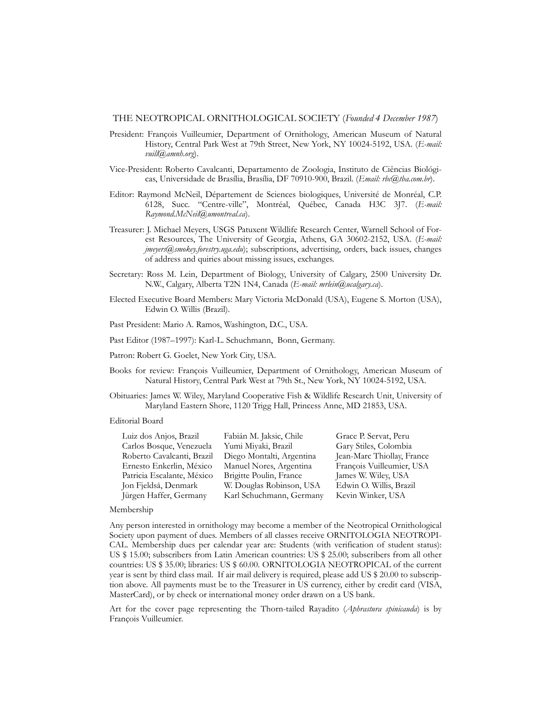#### THE NEOTROPICAL ORNITHOLOGICAL SOCIETY (*Founded 4 December 1987*)

- President: François Vuilleumier, Department of Ornithology, American Museum of Natural History, Central Park West at 79th Street, New York, NY 10024-5192, USA. (*E-mail: vuill@amnh.org*).
- Vice-President: Roberto Cavalcanti, Departamento de Zoologia, Instituto de Ciências Biológicas, Universidade de Brasília, Brasília, DF 70910-900, Brazil. (*Email: rbc@tba.com.br*).
- Editor: Raymond McNeil, Département de Sciences biologiques, Université de Monréal, C.P. 6128, Succ. "Centre-ville", Montréal, Québec, Canada H3C 3J7. (*E-mail: Raymond.McNeil@umontreal.ca*).
- Treasurer: J. Michael Meyers, USGS Patuxent Wildlife Research Center, Warnell School of Forest Resources, The University of Georgia, Athens, GA 30602-2152, USA. (*E-mail: jmeyers@smokey.forestry.uga.edu*); subscriptions, advertising, orders, back issues, changes of address and quiries about missing issues, exchanges.
- Secretary: Ross M. Lein, Department of Biology, University of Calgary, 2500 University Dr. N.W., Calgary, Alberta T2N 1N4, Canada (*E-mail: mrlein@ucalgary.ca*).
- Elected Executive Board Members: Mary Victoria McDonald (USA), Eugene S. Morton (USA), Edwin O. Willis (Brazil).
- Past President: Mario A. Ramos, Washington, D.C., USA.

Past Editor (1987–1997): Karl-L. Schuchmann, Bonn, Germany.

Patron: Robert G. Goelet, New York City, USA.

- Books for review: François Vuilleumier, Department of Ornithology, American Museum of Natural History, Central Park West at 79th St., New York, NY 10024-5192, USA.
- Obituaries: James W. Wiley, Maryland Cooperative Fish & Wildlife Research Unit, University of Maryland Eastern Shore, 1120 Trigg Hall, Princess Anne, MD 21853, USA.

#### Editorial Board

| Luiz dos Anjos, Brazil     | Fabián M. Jaksic, Chile   | Grace P. Servat, Peru      |
|----------------------------|---------------------------|----------------------------|
| Carlos Bosque, Venezuela   | Yumi Miyaki, Brazil       | Gary Stiles, Colombia      |
| Roberto Cavalcanti, Brazil | Diego Montalti, Argentina | Jean-Marc Thiollay, France |
| Ernesto Enkerlin, México   | Manuel Nores, Argentina   | François Vuilleumier, USA  |
| Patricia Escalante, México | Brigitte Poulin, France   | James W. Wiley, USA        |
| Jon Fjeldså, Denmark       | W. Douglas Robinson, USA  | Edwin O. Willis, Brazil    |
| Jürgen Haffer, Germany     | Karl Schuchmann, Germany  | Kevin Winker, USA          |

#### Membership

Any person interested in ornithology may become a member of the Neotropical Ornithological Society upon payment of dues. Members of all classes receive ORNITOLOGIA NEOTROPI-CAL. Membership dues per calendar year are: Students (with verification of student status): US \$ 15.00; subscribers from Latin American countries: US \$ 25.00; subscribers from all other countries: US \$ 35.00; libraries: US \$ 60.00. ORNITOLOGIA NEOTROPICAL of the current year is sent by third class mail. If air mail delivery is required, please add US \$ 20.00 to subscription above. All payments must be to the Treasurer in US currency, either by credit card (VISA, MasterCard), or by check or international money order drawn on a US bank.

Art for the cover page representing the Thorn-tailed Rayadito (*Aphrastura spinicauda*) is by François Vuilleumier.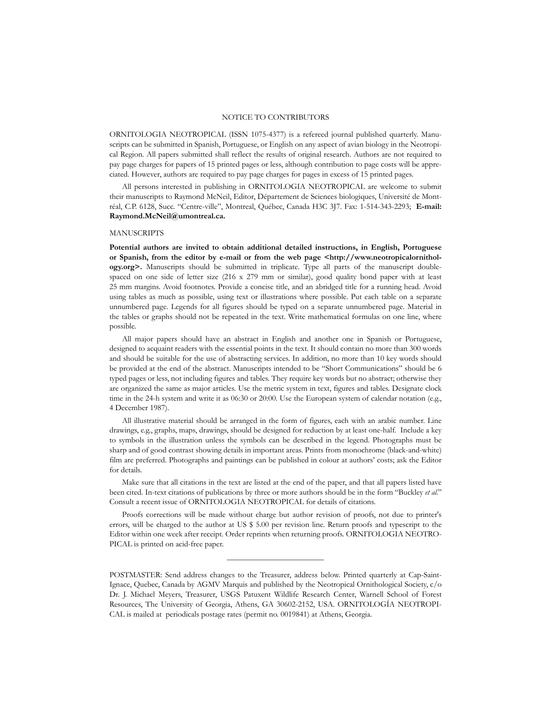## NOTICE TO CONTRIBUTORS

ORNITOLOGIA NEOTROPICAL (ISSN 1075-4377) is a refereed journal published quarterly. Manuscripts can be submitted in Spanish, Portuguese, or English on any aspect of avian biology in the Neotropical Region. All papers submitted shall reflect the results of original research. Authors are not required to pay page charges for papers of 15 printed pages or less, although contribution to page costs will be appreciated. However, authors are required to pay page charges for pages in excess of 15 printed pages.

All persons interested in publishing in ORNITOLOGIA NEOTROPICAL are welcome to submit their manuscripts to Raymond McNeil, Editor, Département de Sciences biologiques, Université de Montréal, C.P. 6128, Succ. "Centre-ville", Montreal, Québec, Canada H3C 3J7. Fax: 1-514-343-2293; **E-mail: Raymond.McNeil@umontreal.ca.**

### **MANUSCRIPTS**

**Potential authors are invited to obtain additional detailed instructions, in English, Portuguese or Spanish, from the editor by e-mail or from the web page <http://www.neotropicalornithology.org>.** Manuscripts should be submitted in triplicate. Type all parts of the manuscript doublespaced on one side of letter size (216 x 279 mm or similar), good quality bond paper with at least 25 mm margins. Avoid footnotes. Provide a concise title, and an abridged title for a running head. Avoid using tables as much as possible, using text or illustrations where possible. Put each table on a separate unnumbered page. Legends for all figures should be typed on a separate unnumbered page. Material in the tables or graphs should not be repeated in the text. Write mathematical formulas on one line, where possible.

All major papers should have an abstract in English and another one in Spanish or Portuguese, designed to acquaint readers with the essential points in the text. It should contain no more than 300 words and should be suitable for the use of abstracting services. In addition, no more than 10 key words should be provided at the end of the abstract. Manuscripts intended to be "Short Communications" should be 6 typed pages or less, not including figures and tables. They require key words but no abstract; otherwise they are organized the same as major articles. Use the metric system in text, figures and tables. Designate clock time in the 24-h system and write it as 06:30 or 20:00. Use the European system of calendar notation (e.g., 4 December 1987).

All illustrative material should be arranged in the form of figures, each with an arabic number. Line drawings, e.g., graphs, maps, drawings, should be designed for reduction by at least one-half. Include a key to symbols in the illustration unless the symbols can be described in the legend. Photographs must be sharp and of good contrast showing details in important areas. Prints from monochrome (black-and-white) film are preferred. Photographs and paintings can be published in colour at authors' costs; ask the Editor for details.

Make sure that all citations in the text are listed at the end of the paper, and that all papers listed have been cited. In-text citations of publications by three or more authors should be in the form "Buckley *et al.*" Consult a recent issue of ORNITOLOGIA NEOTROPICAL for details of citations.

Proofs corrections will be made without charge but author revision of proofs, not due to printer's errors, will be charged to the author at US \$ 5.00 per revision line. Return proofs and typescript to the Editor within one week after receipt. Order reprints when returning proofs. ORNITOLOGIA NEOTRO-PICAL is printed on acid-free paper.

————————————

POSTMASTER: Send address changes to the Treasurer, address below. Printed quarterly at Cap-Saint-Ignace, Quebec, Canada by AGMV Marquis and published by the Neotropical Ornithological Society, c/o Dr. J. Michael Meyers, Treasurer, USGS Patuxent Wildlife Research Center, Warnell School of Forest Resources, The University of Georgia, Athens, GA 30602-2152, USA. ORNITOLOGÍA NEOTROPI-CAL is mailed at periodicals postage rates (permit no. 0019841) at Athens, Georgia.